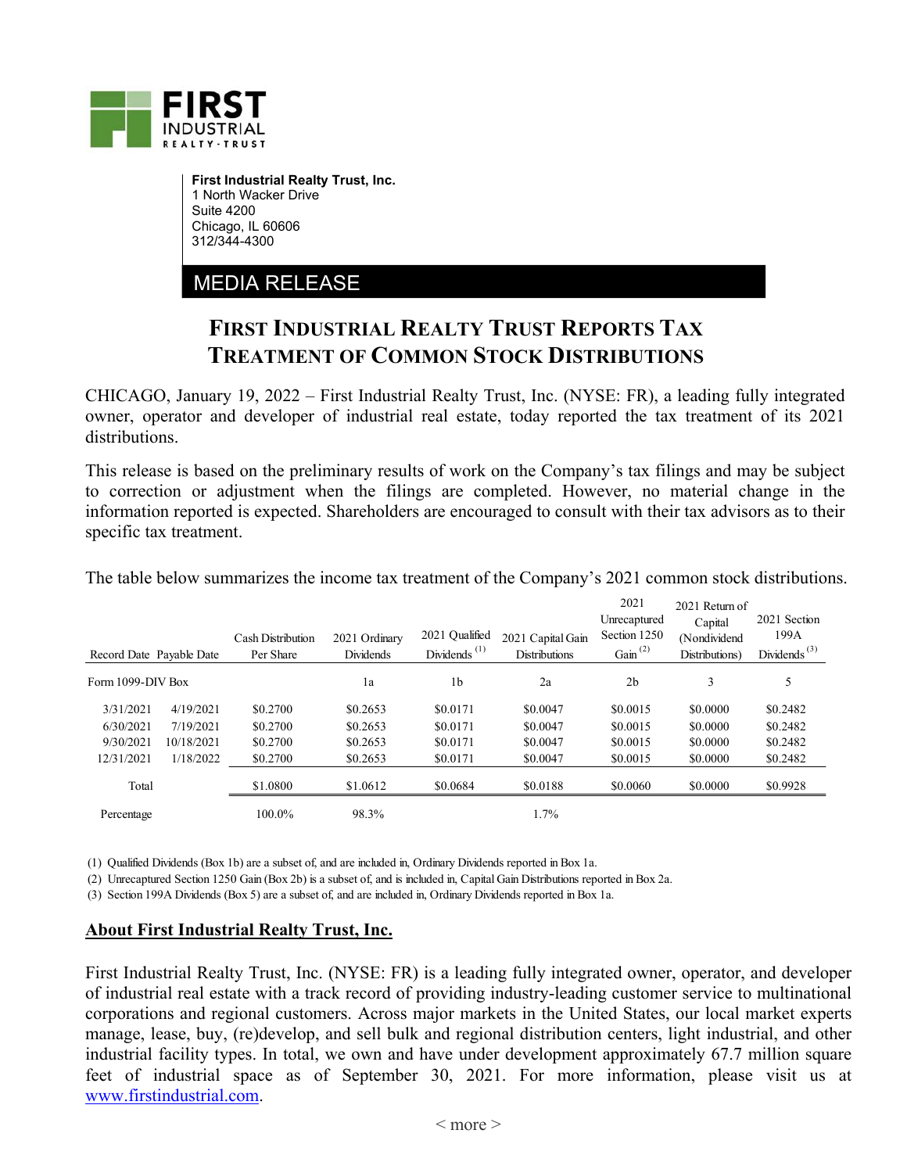

**First Industrial Realty Trust, Inc.**  1 North Wacker Drive Suite 4200 Chicago, IL 60606 312/344-4300

MEDIA RELEASE

## **FIRST INDUSTRIAL REALTY TRUST REPORTS TAX TREATMENT OF COMMON STOCK DISTRIBUTIONS**

CHICAGO, January 19, 2022 – First Industrial Realty Trust, Inc. (NYSE: FR), a leading fully integrated owner, operator and developer of industrial real estate, today reported the tax treatment of its 2021 distributions.

This release is based on the preliminary results of work on the Company's tax filings and may be subject to correction or adjustment when the filings are completed. However, no material change in the information reported is expected. Shareholders are encouraged to consult with their tax advisors as to their specific tax treatment.

| Record Date Payable Date |            | <b>Cash Distribution</b><br>Per Share | 2021 Ordinary<br><b>Dividends</b> | 2021 Qualified<br>Dividends <sup><math>(1)</math></sup> | 2021 Capital Gain<br><b>Distributions</b> | 2021<br>Unrecaptured<br>Section 1250<br>Gain $^{(2)}$ | 2021 Return of<br>Capital<br>(Nondividend<br>Distributions) | 2021 Section<br>199A<br>Dividends $^{(3)}$ |
|--------------------------|------------|---------------------------------------|-----------------------------------|---------------------------------------------------------|-------------------------------------------|-------------------------------------------------------|-------------------------------------------------------------|--------------------------------------------|
| Form 1099-DIV Box        |            |                                       | 1a                                | 1b                                                      | 2a                                        | 2 <sub>b</sub>                                        | 3                                                           | 5                                          |
| 3/31/2021                | 4/19/2021  | \$0.2700                              | \$0.2653                          | \$0.0171                                                | \$0.0047                                  | \$0.0015                                              | \$0.0000                                                    | \$0.2482                                   |
| 6/30/2021                | 7/19/2021  | \$0.2700                              | \$0.2653                          | \$0.0171                                                | \$0.0047                                  | \$0.0015                                              | \$0.0000                                                    | \$0.2482                                   |
| 9/30/2021                | 10/18/2021 | \$0.2700                              | \$0.2653                          | \$0.0171                                                | \$0.0047                                  | \$0.0015                                              | \$0.0000                                                    | \$0.2482                                   |
| 12/31/2021               | 1/18/2022  | \$0.2700                              | \$0.2653                          | \$0.0171                                                | \$0.0047                                  | \$0.0015                                              | \$0.0000                                                    | \$0.2482                                   |
| Total                    |            | \$1.0800                              | \$1.0612                          | \$0.0684                                                | \$0.0188                                  | \$0,0060                                              | \$0.0000                                                    | \$0.9928                                   |
| Percentage               |            | 100.0%                                | 98.3%                             |                                                         | 1.7%                                      |                                                       |                                                             |                                            |

The table below summarizes the income tax treatment of the Company's 2021 common stock distributions.

(1) Qualified Dividends (Box 1b) are a subset of, and are included in, Ordinary Dividends reported in Box 1a.

(2) Unrecaptured Section 1250 Gain (Box 2b) is a subset of, and is included in, Capital Gain Distributions reported in Box 2a.

(3) Section 199A Dividends (Box 5) are a subset of, and are included in, Ordinary Dividends reported in Box 1a.

## **About First Industrial Realty Trust, Inc.**

First Industrial Realty Trust, Inc. (NYSE: FR) is a leading fully integrated owner, operator, and developer of industrial real estate with a track record of providing industry-leading customer service to multinational corporations and regional customers. Across major markets in the United States, our local market experts manage, lease, buy, (re)develop, and sell bulk and regional distribution centers, light industrial, and other industrial facility types. In total, we own and have under development approximately 67.7 million square feet of industrial space as of September 30, 2021. For more information, please visit us at www.firstindustrial.com.